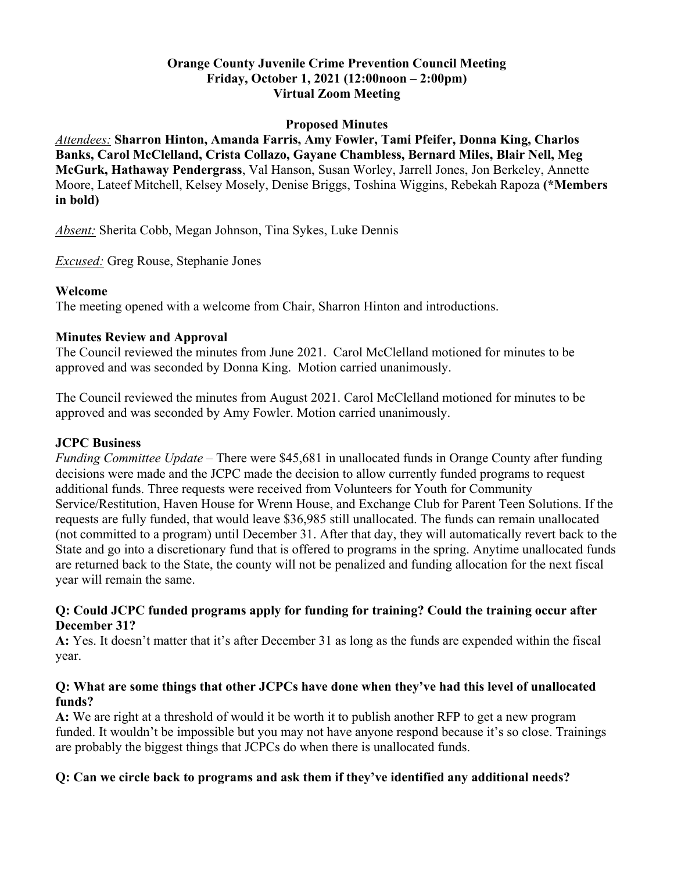# **Orange County Juvenile Crime Prevention Council Meeting Friday, October 1, 2021 (12:00noon – 2:00pm) Virtual Zoom Meeting**

#### **Proposed Minutes**

*Attendees:* **Sharron Hinton, Amanda Farris, Amy Fowler, Tami Pfeifer, Donna King, Charlos Banks, Carol McClelland, Crista Collazo, Gayane Chambless, Bernard Miles, Blair Nell, Meg McGurk, Hathaway Pendergrass**, Val Hanson, Susan Worley, Jarrell Jones, Jon Berkeley, Annette Moore, Lateef Mitchell, Kelsey Mosely, Denise Briggs, Toshina Wiggins, Rebekah Rapoza **(\*Members in bold)**

*Absent:* Sherita Cobb, Megan Johnson, Tina Sykes, Luke Dennis

*Excused:* Greg Rouse, Stephanie Jones

#### **Welcome**

The meeting opened with a welcome from Chair, Sharron Hinton and introductions.

# **Minutes Review and Approval**

The Council reviewed the minutes from June 2021. Carol McClelland motioned for minutes to be approved and was seconded by Donna King. Motion carried unanimously.

The Council reviewed the minutes from August 2021. Carol McClelland motioned for minutes to be approved and was seconded by Amy Fowler. Motion carried unanimously.

#### **JCPC Business**

*Funding Committee Update* – There were \$45,681 in unallocated funds in Orange County after funding decisions were made and the JCPC made the decision to allow currently funded programs to request additional funds. Three requests were received from Volunteers for Youth for Community Service/Restitution, Haven House for Wrenn House, and Exchange Club for Parent Teen Solutions. If the requests are fully funded, that would leave \$36,985 still unallocated. The funds can remain unallocated (not committed to a program) until December 31. After that day, they will automatically revert back to the State and go into a discretionary fund that is offered to programs in the spring. Anytime unallocated funds are returned back to the State, the county will not be penalized and funding allocation for the next fiscal year will remain the same.

## **Q: Could JCPC funded programs apply for funding for training? Could the training occur after December 31?**

**A:** Yes. It doesn't matter that it's after December 31 as long as the funds are expended within the fiscal year.

## **Q: What are some things that other JCPCs have done when they've had this level of unallocated funds?**

**A:** We are right at a threshold of would it be worth it to publish another RFP to get a new program funded. It wouldn't be impossible but you may not have anyone respond because it's so close. Trainings are probably the biggest things that JCPCs do when there is unallocated funds.

# **Q: Can we circle back to programs and ask them if they've identified any additional needs?**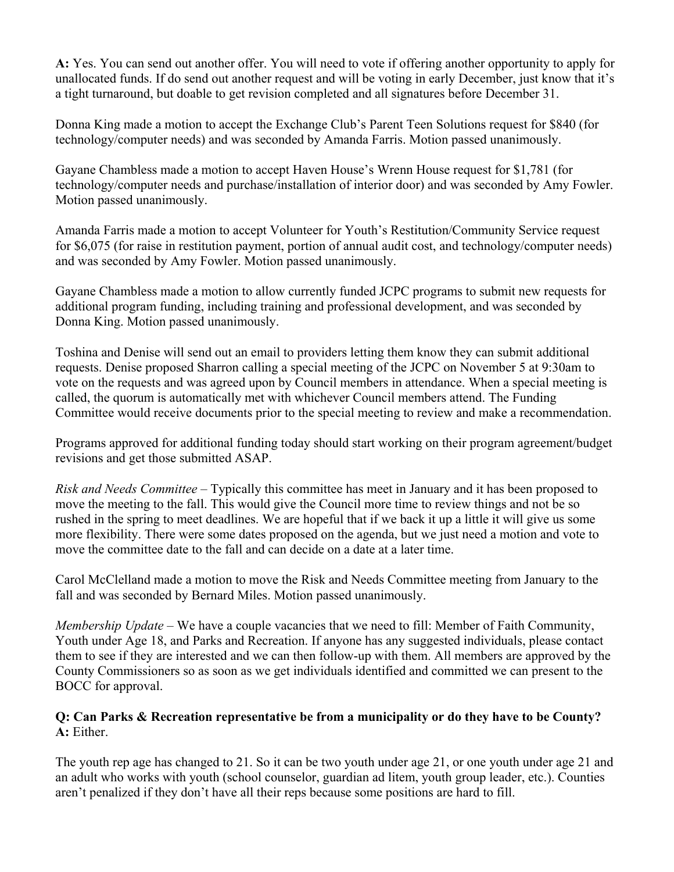**A:** Yes. You can send out another offer. You will need to vote if offering another opportunity to apply for unallocated funds. If do send out another request and will be voting in early December, just know that it's a tight turnaround, but doable to get revision completed and all signatures before December 31.

Donna King made a motion to accept the Exchange Club's Parent Teen Solutions request for \$840 (for technology/computer needs) and was seconded by Amanda Farris. Motion passed unanimously.

Gayane Chambless made a motion to accept Haven House's Wrenn House request for \$1,781 (for technology/computer needs and purchase/installation of interior door) and was seconded by Amy Fowler. Motion passed unanimously.

Amanda Farris made a motion to accept Volunteer for Youth's Restitution/Community Service request for \$6,075 (for raise in restitution payment, portion of annual audit cost, and technology/computer needs) and was seconded by Amy Fowler. Motion passed unanimously.

Gayane Chambless made a motion to allow currently funded JCPC programs to submit new requests for additional program funding, including training and professional development, and was seconded by Donna King. Motion passed unanimously.

Toshina and Denise will send out an email to providers letting them know they can submit additional requests. Denise proposed Sharron calling a special meeting of the JCPC on November 5 at 9:30am to vote on the requests and was agreed upon by Council members in attendance. When a special meeting is called, the quorum is automatically met with whichever Council members attend. The Funding Committee would receive documents prior to the special meeting to review and make a recommendation.

Programs approved for additional funding today should start working on their program agreement/budget revisions and get those submitted ASAP.

*Risk and Needs Committee* – Typically this committee has meet in January and it has been proposed to move the meeting to the fall. This would give the Council more time to review things and not be so rushed in the spring to meet deadlines. We are hopeful that if we back it up a little it will give us some more flexibility. There were some dates proposed on the agenda, but we just need a motion and vote to move the committee date to the fall and can decide on a date at a later time.

Carol McClelland made a motion to move the Risk and Needs Committee meeting from January to the fall and was seconded by Bernard Miles. Motion passed unanimously.

*Membership Update* – We have a couple vacancies that we need to fill: Member of Faith Community, Youth under Age 18, and Parks and Recreation. If anyone has any suggested individuals, please contact them to see if they are interested and we can then follow-up with them. All members are approved by the County Commissioners so as soon as we get individuals identified and committed we can present to the BOCC for approval.

# **Q: Can Parks & Recreation representative be from a municipality or do they have to be County? A:** Either.

The youth rep age has changed to 21. So it can be two youth under age 21, or one youth under age 21 and an adult who works with youth (school counselor, guardian ad litem, youth group leader, etc.). Counties aren't penalized if they don't have all their reps because some positions are hard to fill.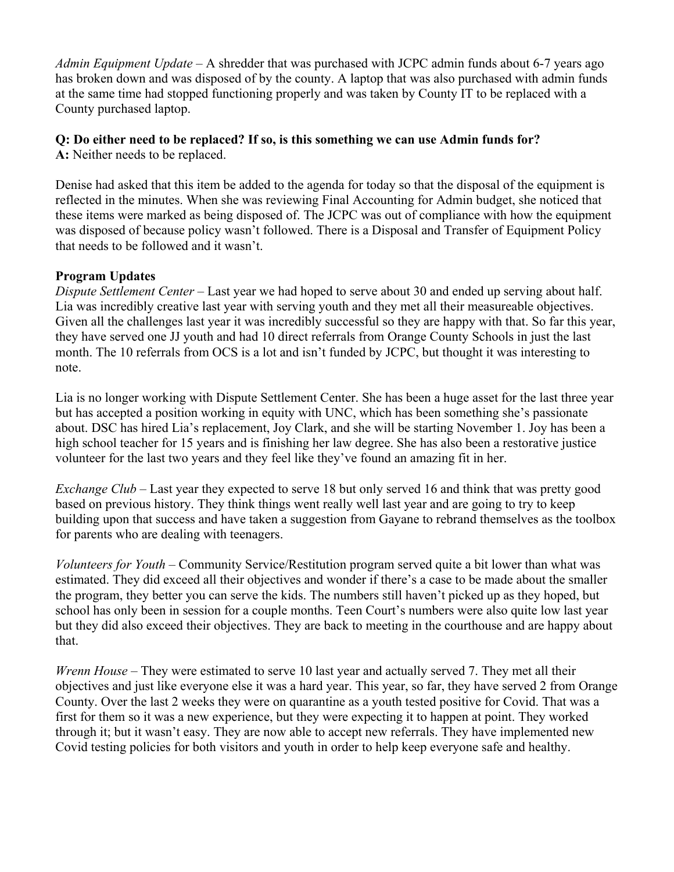*Admin Equipment Update* – A shredder that was purchased with JCPC admin funds about 6-7 years ago has broken down and was disposed of by the county. A laptop that was also purchased with admin funds at the same time had stopped functioning properly and was taken by County IT to be replaced with a County purchased laptop.

#### **Q: Do either need to be replaced? If so, is this something we can use Admin funds for? A:** Neither needs to be replaced.

Denise had asked that this item be added to the agenda for today so that the disposal of the equipment is reflected in the minutes. When she was reviewing Final Accounting for Admin budget, she noticed that these items were marked as being disposed of. The JCPC was out of compliance with how the equipment was disposed of because policy wasn't followed. There is a Disposal and Transfer of Equipment Policy that needs to be followed and it wasn't.

# **Program Updates**

*Dispute Settlement Center* – Last year we had hoped to serve about 30 and ended up serving about half. Lia was incredibly creative last year with serving youth and they met all their measureable objectives. Given all the challenges last year it was incredibly successful so they are happy with that. So far this year, they have served one JJ youth and had 10 direct referrals from Orange County Schools in just the last month. The 10 referrals from OCS is a lot and isn't funded by JCPC, but thought it was interesting to note.

Lia is no longer working with Dispute Settlement Center. She has been a huge asset for the last three year but has accepted a position working in equity with UNC, which has been something she's passionate about. DSC has hired Lia's replacement, Joy Clark, and she will be starting November 1. Joy has been a high school teacher for 15 years and is finishing her law degree. She has also been a restorative justice volunteer for the last two years and they feel like they've found an amazing fit in her.

*Exchange Club* – Last year they expected to serve 18 but only served 16 and think that was pretty good based on previous history. They think things went really well last year and are going to try to keep building upon that success and have taken a suggestion from Gayane to rebrand themselves as the toolbox for parents who are dealing with teenagers.

*Volunteers for Youth* – Community Service/Restitution program served quite a bit lower than what was estimated. They did exceed all their objectives and wonder if there's a case to be made about the smaller the program, they better you can serve the kids. The numbers still haven't picked up as they hoped, but school has only been in session for a couple months. Teen Court's numbers were also quite low last year but they did also exceed their objectives. They are back to meeting in the courthouse and are happy about that.

*Wrenn House* – They were estimated to serve 10 last year and actually served 7. They met all their objectives and just like everyone else it was a hard year. This year, so far, they have served 2 from Orange County. Over the last 2 weeks they were on quarantine as a youth tested positive for Covid. That was a first for them so it was a new experience, but they were expecting it to happen at point. They worked through it; but it wasn't easy. They are now able to accept new referrals. They have implemented new Covid testing policies for both visitors and youth in order to help keep everyone safe and healthy.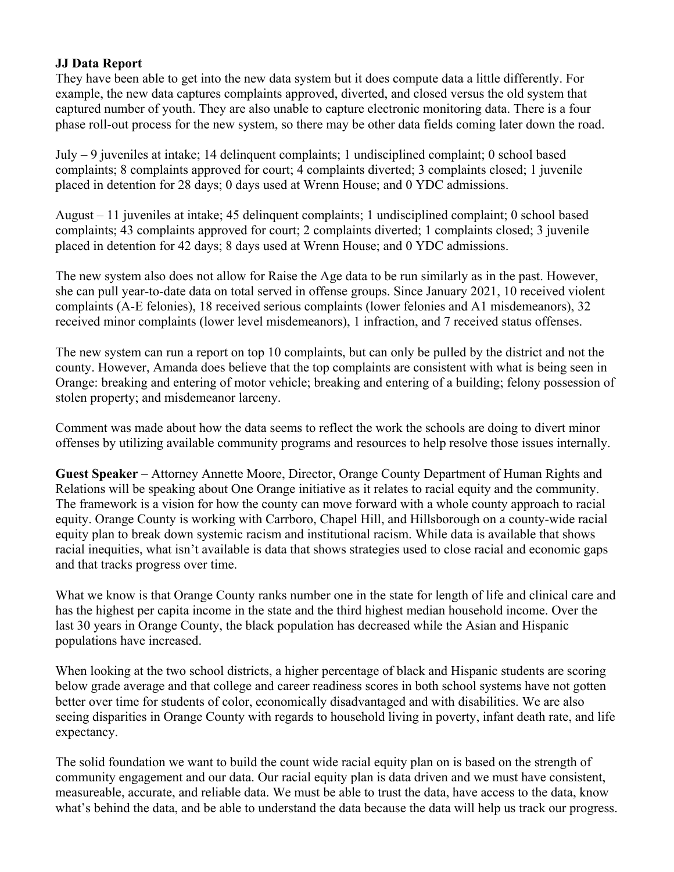## **JJ Data Report**

They have been able to get into the new data system but it does compute data a little differently. For example, the new data captures complaints approved, diverted, and closed versus the old system that captured number of youth. They are also unable to capture electronic monitoring data. There is a four phase roll-out process for the new system, so there may be other data fields coming later down the road.

July – 9 juveniles at intake; 14 delinquent complaints; 1 undisciplined complaint; 0 school based complaints; 8 complaints approved for court; 4 complaints diverted; 3 complaints closed; 1 juvenile placed in detention for 28 days; 0 days used at Wrenn House; and 0 YDC admissions.

August – 11 juveniles at intake; 45 delinquent complaints; 1 undisciplined complaint; 0 school based complaints; 43 complaints approved for court; 2 complaints diverted; 1 complaints closed; 3 juvenile placed in detention for 42 days; 8 days used at Wrenn House; and 0 YDC admissions.

The new system also does not allow for Raise the Age data to be run similarly as in the past. However, she can pull year-to-date data on total served in offense groups. Since January 2021, 10 received violent complaints (A-E felonies), 18 received serious complaints (lower felonies and A1 misdemeanors), 32 received minor complaints (lower level misdemeanors), 1 infraction, and 7 received status offenses.

The new system can run a report on top 10 complaints, but can only be pulled by the district and not the county. However, Amanda does believe that the top complaints are consistent with what is being seen in Orange: breaking and entering of motor vehicle; breaking and entering of a building; felony possession of stolen property; and misdemeanor larceny.

Comment was made about how the data seems to reflect the work the schools are doing to divert minor offenses by utilizing available community programs and resources to help resolve those issues internally.

**Guest Speaker** – Attorney Annette Moore, Director, Orange County Department of Human Rights and Relations will be speaking about One Orange initiative as it relates to racial equity and the community. The framework is a vision for how the county can move forward with a whole county approach to racial equity. Orange County is working with Carrboro, Chapel Hill, and Hillsborough on a county-wide racial equity plan to break down systemic racism and institutional racism. While data is available that shows racial inequities, what isn't available is data that shows strategies used to close racial and economic gaps and that tracks progress over time.

What we know is that Orange County ranks number one in the state for length of life and clinical care and has the highest per capita income in the state and the third highest median household income. Over the last 30 years in Orange County, the black population has decreased while the Asian and Hispanic populations have increased.

When looking at the two school districts, a higher percentage of black and Hispanic students are scoring below grade average and that college and career readiness scores in both school systems have not gotten better over time for students of color, economically disadvantaged and with disabilities. We are also seeing disparities in Orange County with regards to household living in poverty, infant death rate, and life expectancy.

The solid foundation we want to build the count wide racial equity plan on is based on the strength of community engagement and our data. Our racial equity plan is data driven and we must have consistent, measureable, accurate, and reliable data. We must be able to trust the data, have access to the data, know what's behind the data, and be able to understand the data because the data will help us track our progress.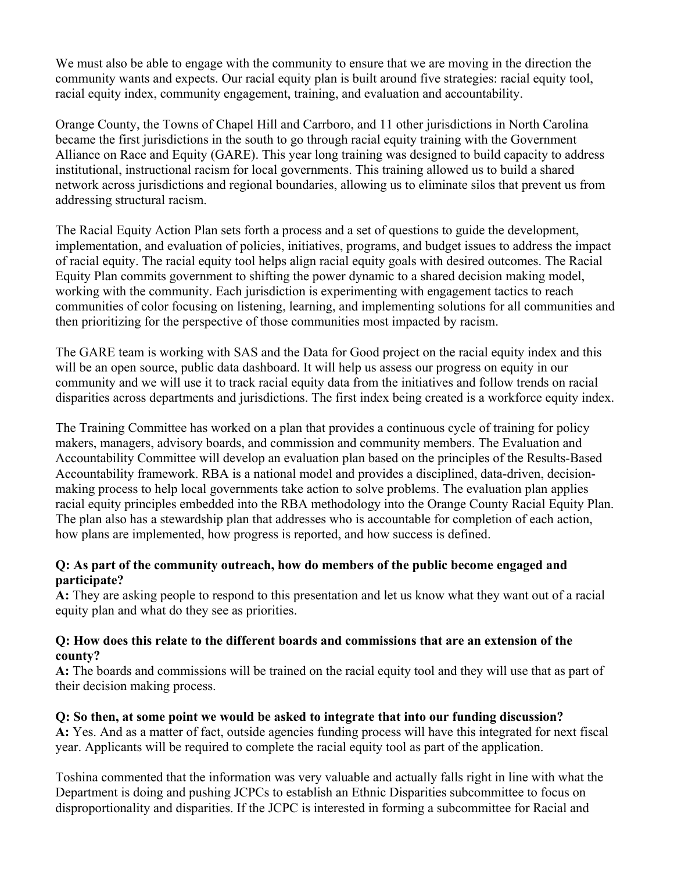We must also be able to engage with the community to ensure that we are moving in the direction the community wants and expects. Our racial equity plan is built around five strategies: racial equity tool, racial equity index, community engagement, training, and evaluation and accountability.

Orange County, the Towns of Chapel Hill and Carrboro, and 11 other jurisdictions in North Carolina became the first jurisdictions in the south to go through racial equity training with the Government Alliance on Race and Equity (GARE). This year long training was designed to build capacity to address institutional, instructional racism for local governments. This training allowed us to build a shared network across jurisdictions and regional boundaries, allowing us to eliminate silos that prevent us from addressing structural racism.

The Racial Equity Action Plan sets forth a process and a set of questions to guide the development, implementation, and evaluation of policies, initiatives, programs, and budget issues to address the impact of racial equity. The racial equity tool helps align racial equity goals with desired outcomes. The Racial Equity Plan commits government to shifting the power dynamic to a shared decision making model, working with the community. Each jurisdiction is experimenting with engagement tactics to reach communities of color focusing on listening, learning, and implementing solutions for all communities and then prioritizing for the perspective of those communities most impacted by racism.

The GARE team is working with SAS and the Data for Good project on the racial equity index and this will be an open source, public data dashboard. It will help us assess our progress on equity in our community and we will use it to track racial equity data from the initiatives and follow trends on racial disparities across departments and jurisdictions. The first index being created is a workforce equity index.

The Training Committee has worked on a plan that provides a continuous cycle of training for policy makers, managers, advisory boards, and commission and community members. The Evaluation and Accountability Committee will develop an evaluation plan based on the principles of the Results-Based Accountability framework. RBA is a national model and provides a disciplined, data-driven, decisionmaking process to help local governments take action to solve problems. The evaluation plan applies racial equity principles embedded into the RBA methodology into the Orange County Racial Equity Plan. The plan also has a stewardship plan that addresses who is accountable for completion of each action, how plans are implemented, how progress is reported, and how success is defined.

# **Q: As part of the community outreach, how do members of the public become engaged and participate?**

**A:** They are asking people to respond to this presentation and let us know what they want out of a racial equity plan and what do they see as priorities.

## **Q: How does this relate to the different boards and commissions that are an extension of the county?**

**A:** The boards and commissions will be trained on the racial equity tool and they will use that as part of their decision making process.

# **Q: So then, at some point we would be asked to integrate that into our funding discussion?**

**A:** Yes. And as a matter of fact, outside agencies funding process will have this integrated for next fiscal year. Applicants will be required to complete the racial equity tool as part of the application.

Toshina commented that the information was very valuable and actually falls right in line with what the Department is doing and pushing JCPCs to establish an Ethnic Disparities subcommittee to focus on disproportionality and disparities. If the JCPC is interested in forming a subcommittee for Racial and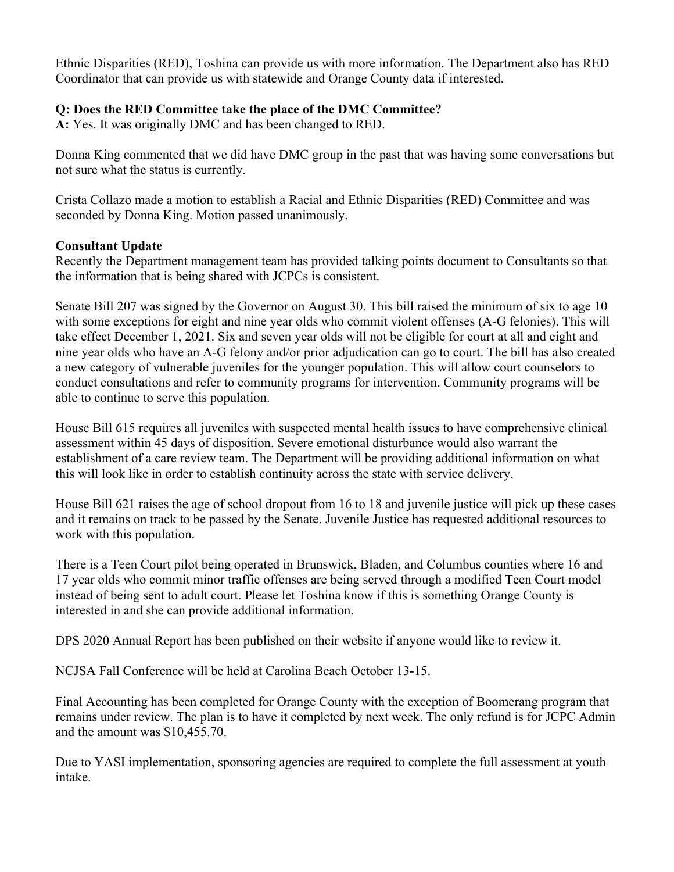Ethnic Disparities (RED), Toshina can provide us with more information. The Department also has RED Coordinator that can provide us with statewide and Orange County data if interested.

# **Q: Does the RED Committee take the place of the DMC Committee?**

**A:** Yes. It was originally DMC and has been changed to RED.

Donna King commented that we did have DMC group in the past that was having some conversations but not sure what the status is currently.

Crista Collazo made a motion to establish a Racial and Ethnic Disparities (RED) Committee and was seconded by Donna King. Motion passed unanimously.

# **Consultant Update**

Recently the Department management team has provided talking points document to Consultants so that the information that is being shared with JCPCs is consistent.

Senate Bill 207 was signed by the Governor on August 30. This bill raised the minimum of six to age 10 with some exceptions for eight and nine year olds who commit violent offenses (A-G felonies). This will take effect December 1, 2021. Six and seven year olds will not be eligible for court at all and eight and nine year olds who have an A-G felony and/or prior adjudication can go to court. The bill has also created a new category of vulnerable juveniles for the younger population. This will allow court counselors to conduct consultations and refer to community programs for intervention. Community programs will be able to continue to serve this population.

House Bill 615 requires all juveniles with suspected mental health issues to have comprehensive clinical assessment within 45 days of disposition. Severe emotional disturbance would also warrant the establishment of a care review team. The Department will be providing additional information on what this will look like in order to establish continuity across the state with service delivery.

House Bill 621 raises the age of school dropout from 16 to 18 and juvenile justice will pick up these cases and it remains on track to be passed by the Senate. Juvenile Justice has requested additional resources to work with this population.

There is a Teen Court pilot being operated in Brunswick, Bladen, and Columbus counties where 16 and 17 year olds who commit minor traffic offenses are being served through a modified Teen Court model instead of being sent to adult court. Please let Toshina know if this is something Orange County is interested in and she can provide additional information.

DPS 2020 Annual Report has been published on their website if anyone would like to review it.

NCJSA Fall Conference will be held at Carolina Beach October 13-15.

Final Accounting has been completed for Orange County with the exception of Boomerang program that remains under review. The plan is to have it completed by next week. The only refund is for JCPC Admin and the amount was \$10,455.70.

Due to YASI implementation, sponsoring agencies are required to complete the full assessment at youth intake.